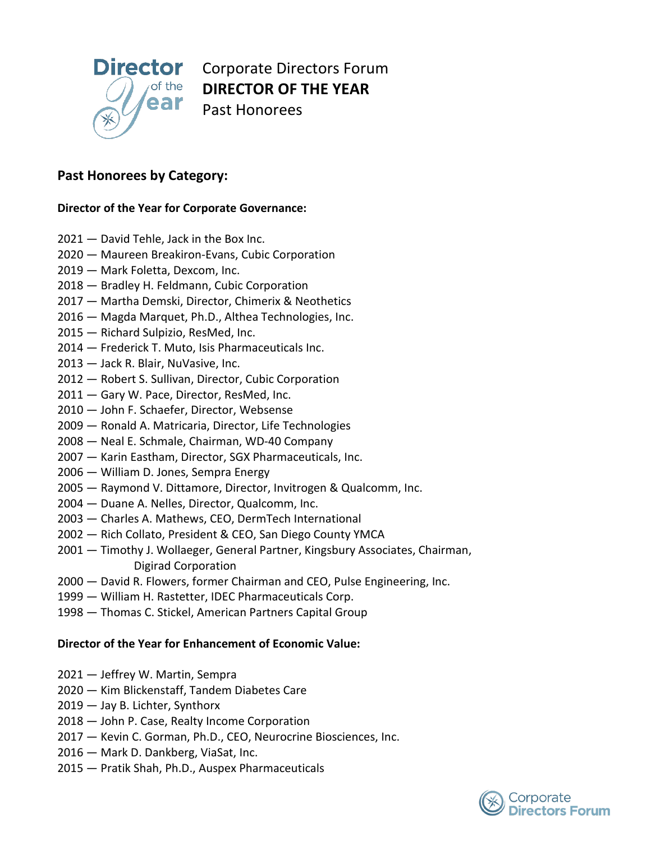

**Director** Corporate Directors Forum  **DIRECTOR OF THE YEAR** Past Honorees

# **Past Honorees by Category:**

## **Director of the Year for Corporate Governance:**

- 2021 David Tehle, Jack in the Box Inc.
- 2020 Maureen Breakiron-Evans, Cubic Corporation
- 2019 Mark Foletta, Dexcom, Inc.
- 2018 Bradley H. Feldmann, Cubic Corporation
- 2017 Martha Demski, Director, Chimerix & Neothetics
- 2016 Magda Marquet, Ph.D., Althea Technologies, Inc.
- 2015 Richard Sulpizio, ResMed, Inc.
- 2014 Frederick T. Muto, Isis Pharmaceuticals Inc.
- 2013 Jack R. Blair, NuVasive, Inc.
- 2012 Robert S. Sullivan, Director, Cubic Corporation
- 2011 Gary W. Pace, Director, ResMed, Inc.
- 2010 John F. Schaefer, Director, Websense
- 2009 Ronald A. Matricaria, Director, Life Technologies
- 2008 Neal E. Schmale, Chairman, WD-40 Company
- 2007 Karin Eastham, Director, SGX Pharmaceuticals, Inc.
- 2006 William D. Jones, Sempra Energy
- 2005 Raymond V. Dittamore, Director, Invitrogen & Qualcomm, Inc.
- 2004 Duane A. Nelles, Director, Qualcomm, Inc.
- 2003 Charles A. Mathews, CEO, DermTech International
- 2002 Rich Collato, President & CEO, San Diego County YMCA
- 2001 Timothy J. Wollaeger, General Partner, Kingsbury Associates, Chairman, Digirad Corporation
- 2000 David R. Flowers, former Chairman and CEO, Pulse Engineering, Inc.
- 1999 William H. Rastetter, IDEC Pharmaceuticals Corp.
- 1998 Thomas C. Stickel, American Partners Capital Group

#### **Director of the Year for Enhancement of Economic Value:**

- 2021 Jeffrey W. Martin, Sempra
- 2020 Kim Blickenstaff, Tandem Diabetes Care
- 2019 Jay B. Lichter, Synthorx
- 2018 John P. Case, Realty Income Corporation
- 2017 Kevin C. Gorman, Ph.D., CEO, Neurocrine Biosciences, Inc.
- 2016 Mark D. Dankberg, ViaSat, Inc.
- 2015 Pratik Shah, Ph.D., Auspex Pharmaceuticals

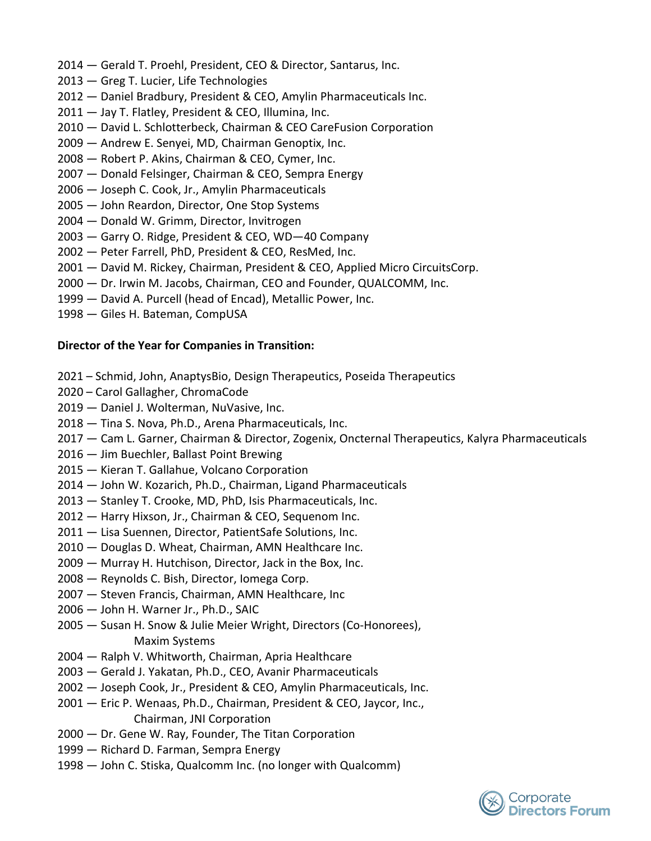- 2014 Gerald T. Proehl, President, CEO & Director, Santarus, Inc.
- 2013 Greg T. Lucier, Life Technologies
- 2012 Daniel Bradbury, President & CEO, Amylin Pharmaceuticals Inc.
- 2011 Jay T. Flatley, President & CEO, Illumina, Inc.
- 2010 David L. Schlotterbeck, Chairman & CEO CareFusion Corporation
- 2009 Andrew E. Senyei, MD, Chairman Genoptix, Inc.
- 2008 Robert P. Akins, Chairman & CEO, Cymer, Inc.
- 2007 Donald Felsinger, Chairman & CEO, Sempra Energy
- 2006 Joseph C. Cook, Jr., Amylin Pharmaceuticals
- 2005 John Reardon, Director, One Stop Systems
- 2004 Donald W. Grimm, Director, Invitrogen
- 2003 Garry O. Ridge, President & CEO, WD—40 Company
- 2002 Peter Farrell, PhD, President & CEO, ResMed, Inc.
- 2001 David M. Rickey, Chairman, President & CEO, Applied Micro CircuitsCorp.
- 2000 Dr. Irwin M. Jacobs, Chairman, CEO and Founder, QUALCOMM, Inc.
- 1999 David A. Purcell (head of Encad), Metallic Power, Inc.
- 1998 Giles H. Bateman, CompUSA

## **Director of the Year for Companies in Transition:**

- 2021 Schmid, John, AnaptysBio, Design Therapeutics, Poseida Therapeutics
- 2020 Carol Gallagher, ChromaCode
- 2019 Daniel J. Wolterman, NuVasive, Inc.
- 2018 Tina S. Nova, Ph.D., Arena Pharmaceuticals, Inc.
- 2017 Cam L. Garner, Chairman & Director, Zogenix, Oncternal Therapeutics, Kalyra Pharmaceuticals
- 2016 Jim Buechler, Ballast Point Brewing
- 2015 Kieran T. Gallahue, Volcano Corporation
- 2014 John W. Kozarich, Ph.D., Chairman, Ligand Pharmaceuticals
- 2013 Stanley T. Crooke, MD, PhD, Isis Pharmaceuticals, Inc.
- 2012 Harry Hixson, Jr., Chairman & CEO, Sequenom Inc.
- 2011 Lisa Suennen, Director, PatientSafe Solutions, Inc.
- 2010 Douglas D. Wheat, Chairman, AMN Healthcare Inc.
- 2009 Murray H. Hutchison, Director, Jack in the Box, Inc.
- 2008 Reynolds C. Bish, Director, Iomega Corp.
- 2007 Steven Francis, Chairman, AMN Healthcare, Inc
- 2006 John H. Warner Jr., Ph.D., SAIC
- 2005 Susan H. Snow & Julie Meier Wright, Directors (Co-Honorees), Maxim Systems
- 2004 Ralph V. Whitworth, Chairman, Apria Healthcare
- 2003 Gerald J. Yakatan, Ph.D., CEO, Avanir Pharmaceuticals
- 2002 Joseph Cook, Jr., President & CEO, Amylin Pharmaceuticals, Inc.
- 2001 Eric P. Wenaas, Ph.D., Chairman, President & CEO, Jaycor, Inc., Chairman, JNI Corporation
- 2000 Dr. Gene W. Ray, Founder, The Titan Corporation
- 1999 Richard D. Farman, Sempra Energy
- 1998 John C. Stiska, Qualcomm Inc. (no longer with Qualcomm)

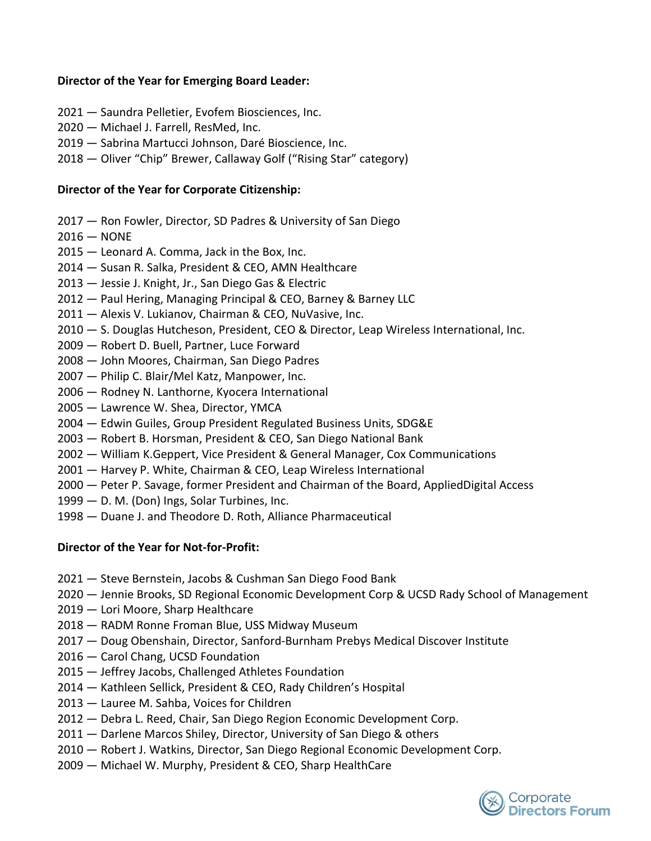## **Director of the Year for Emerging Board Leader:**

- 2021 Saundra Pelletier, Evofem Biosciences, Inc.
- 2020 Michael J. Farrell, ResMed, Inc.
- 2019 Sabrina Martucci Johnson, Daré Bioscience, Inc.
- 2018 Oliver "Chip" Brewer, Callaway Golf ("Rising Star" category)

#### **Director of the Year for Corporate Citizenship:**

- 2017 Ron Fowler, Director, SD Padres & University of San Diego
- $2016 NONE$
- 2015 Leonard A. Comma, Jack in the Box, Inc.
- 2014 Susan R. Salka, President & CEO, AMN Healthcare
- 2013 Jessie J. Knight, Jr., San Diego Gas & Electric
- 2012 Paul Hering, Managing Principal & CEO, Barney & Barney LLC
- 2011 Alexis V. Lukianov, Chairman & CEO, NuVasive, Inc.
- 2010 S. Douglas Hutcheson, President, CEO & Director, Leap Wireless International, Inc.
- 2009 Robert D. Buell, Partner, Luce Forward
- 2008 John Moores, Chairman, San Diego Padres
- 2007 Philip C. Blair/Mel Katz, Manpower, Inc.
- 2006 Rodney N. Lanthorne, Kyocera International
- 2005 Lawrence W. Shea, Director, YMCA
- 2004 Edwin Guiles, Group President Regulated Business Units, SDG&E
- 2003 Robert B. Horsman, President & CEO, San Diego National Bank
- 2002 William K.Geppert, Vice President & General Manager, Cox Communications
- 2001 Harvey P. White, Chairman & CEO, Leap Wireless International
- 2000 Peter P. Savage, former President and Chairman of the Board, AppliedDigital Access
- 1999 D. M. (Don) Ings, Solar Turbines, Inc.
- 1998 Duane J. and Theodore D. Roth, Alliance Pharmaceutical

# **Director of the Year for Not-for-Profit:**

- 2021 Steve Bernstein, Jacobs & Cushman San Diego Food Bank
- 2020 Jennie Brooks, SD Regional Economic Development Corp & UCSD Rady School of Management
- 2019 Lori Moore, Sharp Healthcare
- 2018 RADM Ronne Froman Blue, USS Midway Museum
- 2017 Doug Obenshain, Director, Sanford-Burnham Prebys Medical Discover Institute
- 2016 Carol Chang, UCSD Foundation
- 2015 Jeffrey Jacobs, Challenged Athletes Foundation
- 2014 Kathleen Sellick, President & CEO, Rady Children's Hospital
- 2013 Lauree M. Sahba, Voices for Children
- 2012 Debra L. Reed, Chair, San Diego Region Economic Development Corp.
- 2011 Darlene Marcos Shiley, Director, University of San Diego & others
- 2010 Robert J. Watkins, Director, San Diego Regional Economic Development Corp.
- 2009 Michael W. Murphy, President & CEO, Sharp HealthCare

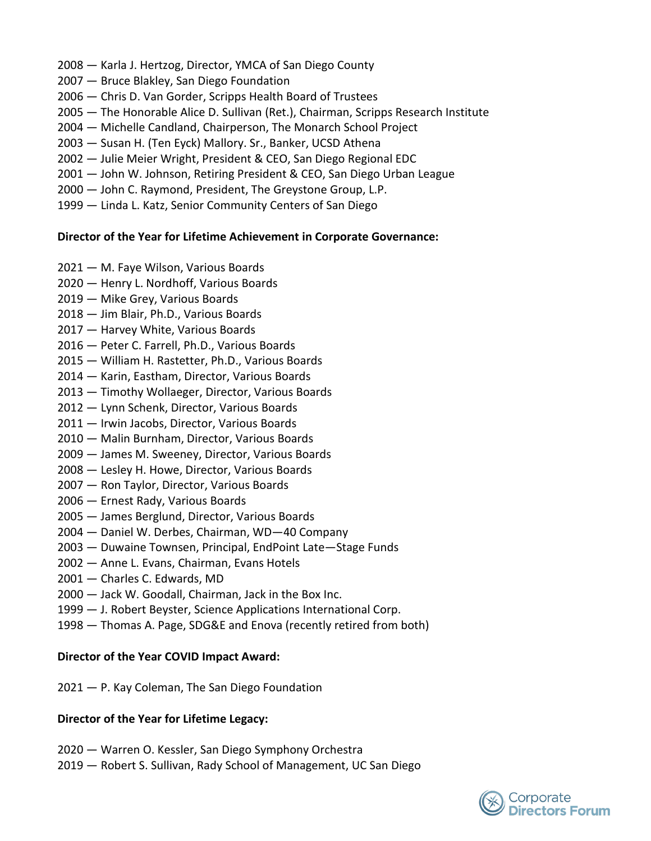- 2008 Karla J. Hertzog, Director, YMCA of San Diego County
- 2007 Bruce Blakley, San Diego Foundation
- 2006 Chris D. Van Gorder, Scripps Health Board of Trustees
- 2005 The Honorable Alice D. Sullivan (Ret.), Chairman, Scripps Research Institute
- 2004 Michelle Candland, Chairperson, The Monarch School Project
- 2003 Susan H. (Ten Eyck) Mallory. Sr., Banker, UCSD Athena
- 2002 Julie Meier Wright, President & CEO, San Diego Regional EDC
- 2001 John W. Johnson, Retiring President & CEO, San Diego Urban League
- 2000 John C. Raymond, President, The Greystone Group, L.P.
- 1999 Linda L. Katz, Senior Community Centers of San Diego

## **Director of the Year for Lifetime Achievement in Corporate Governance:**

- 2021 M. Faye Wilson, Various Boards
- 2020 Henry L. Nordhoff, Various Boards
- 2019 Mike Grey, Various Boards
- 2018 Jim Blair, Ph.D., Various Boards
- 2017 Harvey White, Various Boards
- 2016 Peter C. Farrell, Ph.D., Various Boards
- 2015 William H. Rastetter, Ph.D., Various Boards
- 2014 Karin, Eastham, Director, Various Boards
- 2013 Timothy Wollaeger, Director, Various Boards
- 2012 Lynn Schenk, Director, Various Boards
- 2011 Irwin Jacobs, Director, Various Boards
- 2010 Malin Burnham, Director, Various Boards
- 2009 James M. Sweeney, Director, Various Boards
- 2008 Lesley H. Howe, Director, Various Boards
- 2007 Ron Taylor, Director, Various Boards
- 2006 Ernest Rady, Various Boards
- 2005 James Berglund, Director, Various Boards
- 2004 Daniel W. Derbes, Chairman, WD—40 Company
- 2003 Duwaine Townsen, Principal, EndPoint Late—Stage Funds
- 2002 Anne L. Evans, Chairman, Evans Hotels
- 2001 Charles C. Edwards, MD
- 2000 Jack W. Goodall, Chairman, Jack in the Box Inc.
- 1999 J. Robert Beyster, Science Applications International Corp.
- 1998 Thomas A. Page, SDG&E and Enova (recently retired from both)

#### **Director of the Year COVID Impact Award:**

2021 — P. Kay Coleman, The San Diego Foundation

# **Director of the Year for Lifetime Legacy:**

- 2020 Warren O. Kessler, San Diego Symphony Orchestra
- 2019 Robert S. Sullivan, Rady School of Management, UC San Diego